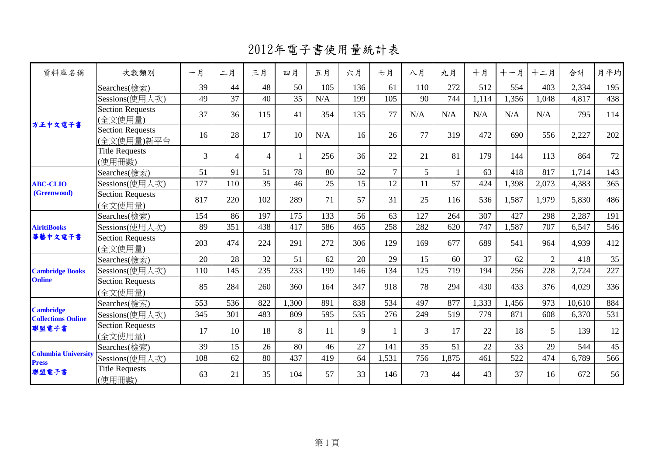2012年電子書使用量統計表

| 資料庫名稱                                         | 次數類別                                 | 一月  | 二月  | 三月  | 四月    | 五月  | 六月           | 七月             | 八月  | 九月    | 十月    | 十一月   | 十二月   | 合計     | 月平均 |
|-----------------------------------------------|--------------------------------------|-----|-----|-----|-------|-----|--------------|----------------|-----|-------|-------|-------|-------|--------|-----|
|                                               | Searches(檢索)                         | 39  | 44  | 48  | 50    | 105 | 136          | 61             | 110 | 272   | 512   | 554   | 403   | 2,334  | 195 |
| 方正中文電子書                                       | Sessions(使用人次)                       | 49  | 37  | 40  | 35    | N/A | 199          | 105            | 90  | 744   | 1,114 | 1,356 | 1,048 | 4,817  | 438 |
|                                               | <b>Section Requests</b><br>(全文使用量)   | 37  | 36  | 115 | 41    | 354 | 135          | 77             | N/A | N/A   | N/A   | N/A   | N/A   | 795    | 114 |
|                                               | <b>Section Requests</b><br>全文使用量)新平台 | 16  | 28  | 17  | 10    | N/A | 16           | 26             | 77  | 319   | 472   | 690   | 556   | 2,227  | 202 |
|                                               | <b>Title Requests</b><br>(使用冊數)      | 3   | 4   | 4   |       | 256 | 36           | 22             | 21  | 81    | 179   | 144   | 113   | 864    | 72  |
| <b>ABC-CLIO</b><br>(Greenwood)                | Searches(檢索)                         | 51  | 91  | 51  | 78    | 80  | 52           | $\overline{7}$ | 5   |       | 63    | 418   | 817   | 1.714  | 143 |
|                                               | Sessions(使用人次)                       | 177 | 110 | 35  | 46    | 25  | 15           | 12             | 11  | 57    | 424   | 1,398 | 2,073 | 4,383  | 365 |
|                                               | <b>Section Requests</b><br>(全文使用量)   | 817 | 220 | 102 | 289   | 71  | 57           | 31             | 25  | 116   | 536   | 1,587 | 1,979 | 5,830  | 486 |
| <b>AiritiBooks</b>                            | Searches(檢索)                         | 154 | 86  | 197 | 175   | 133 | 56           | 63             | 127 | 264   | 307   | 427   | 298   | 2,287  | 191 |
|                                               | Sessions(使用人次)                       | 89  | 351 | 438 | 417   | 586 | 465          | 258            | 282 | 620   | 747   | 1,587 | 707   | 6,547  | 546 |
| 華藝中文電子書                                       | <b>Section Requests</b><br>(全文使用量)   | 203 | 474 | 224 | 291   | 272 | 306          | 129            | 169 | 677   | 689   | 541   | 964   | 4,939  | 412 |
|                                               | Searches(檢索)                         | 20  | 28  | 32  | 51    | 62  | 20           | 29             | 15  | 60    | 37    | 62    | 2     | 418    | 35  |
| <b>Cambridge Books</b>                        | Sessions(使用人次)                       | 110 | 145 | 235 | 233   | 199 | 146          | 134            | 125 | 719   | 194   | 256   | 228   | 2,724  | 227 |
| <b>Online</b>                                 | <b>Section Requests</b><br>(全文使用量)   | 85  | 284 | 260 | 360   | 164 | 347          | 918            | 78  | 294   | 430   | 433   | 376   | 4,029  | 336 |
|                                               | Searches(檢索)                         | 553 | 536 | 822 | 1,300 | 891 | 838          | 534            | 497 | 877   | 1,333 | 1,456 | 973   | 10,610 | 884 |
| <b>Cambridge</b><br><b>Collections Online</b> | Sessions(使用人次)                       | 345 | 301 | 483 | 809   | 595 | 535          | 276            | 249 | 519   | 779   | 871   | 608   | 6,370  | 531 |
| 聯盟電子書                                         | <b>Section Requests</b><br>(全文使用量)   | 17  | 10  | 18  | 8     | 11  | $\mathbf{Q}$ |                | 3   | 17    | 22    | 18    | 5     | 139    | 12  |
|                                               | Searches(檢索)                         | 39  | 15  | 26  | 80    | 46  | 27           | 141            | 35  | 51    | 22    | 33    | 29    | 544    | 45  |
| <b>Columbia University</b><br><b>Press</b>    | Sessions(使用人次)                       | 108 | 62  | 80  | 437   | 419 | 64           | 1,531          | 756 | 1,875 | 461   | 522   | 474   | 6,789  | 566 |
| 聯盟電子書                                         | <b>Title Requests</b><br>(使用冊數)      | 63  | 21  | 35  | 104   | 57  | 33           | 146            | 73  | 44    | 43    | 37    | 16    | 672    | 56  |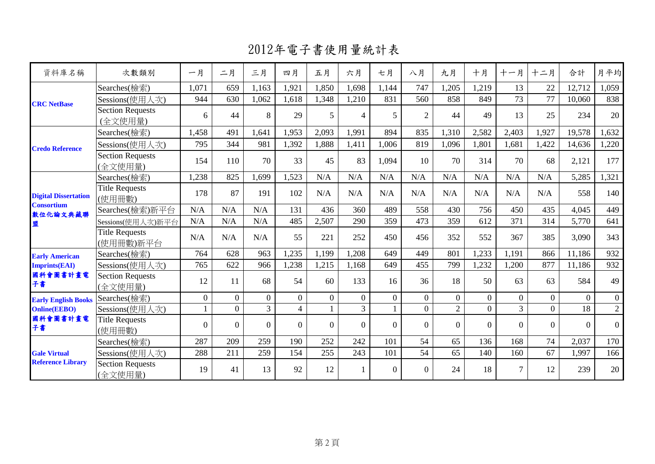2012年電子書使用量統計表

| 資料庫名稱                                                             | 次數類別                               | 一月             | 二月             | 三月             | 四月             | 五月             | 六月             | 七月             | 八月             | 九月             | 十月             | 十一月            | 十二月            | 合計             | 月平均            |
|-------------------------------------------------------------------|------------------------------------|----------------|----------------|----------------|----------------|----------------|----------------|----------------|----------------|----------------|----------------|----------------|----------------|----------------|----------------|
| <b>CRC</b> NetBase                                                | Searches(檢索)                       | 1,071          | 659            | 1,163          | 1,921          | 1,850          | 1,698          | 1,144          | 747            | 1,205          | 1,219          | 13             | 22             | 12,712         | 1,059          |
|                                                                   | Sessions(使用人次)                     | 944            | 630            | 1,062          | 1,618          | 1,348          | 1,210          | 831            | 560            | 858            | 849            | 73             | 77             | 10,060         | 838            |
|                                                                   | <b>Section Requests</b><br>(全文使用量) | 6              | 44             | 8              | 29             | 5              | 4              | 5              | $\overline{2}$ | 44             | 49             | 13             | 25             | 234            | 20             |
|                                                                   | Searches(檢索)                       | ,458           | 491            | .641           | 1,953          | 2,093          | 1,991          | 894            | 835            | 1,310          | 2,582          | 2,403          | 1,927          | 19,578         | 1,632          |
| <b>Credo Reference</b>                                            | Sessions(使用人次)                     | 795            | 344            | 981            | 1,392          | 1,888          | 1,411          | .006           | 819            | 1,096          | 1,801          | 1,681          | 1,422          | 14,636         | 1,220          |
|                                                                   | <b>Section Requests</b><br>(全文使用量) | 154            | 110            | 70             | 33             | 45             | 83             | 1,094          | 10             | 70             | 314            | 70             | 68             | 2,121          | 177            |
| <b>Digital Dissertation</b><br><b>Consortium</b><br>敦位化論文典藏聯<br>盟 | Searches(檢索)                       | ,238           | 825            | ,699           | 1,523          | N/A            | N/A            | N/A            | N/A            | N/A            | N/A            | N/A            | N/A            | 5,285          | 1,321          |
|                                                                   | <b>Title Requests</b><br>(使用冊數)    | 178            | 87             | 191            | 102            | N/A            | N/A            | N/A            | N/A            | N/A            | N/A            | N/A            | N/A            | 558            | 140            |
|                                                                   | Searches(檢索)新平台                    | N/A            | N/A            | N/A            | 131            | 436            | 360            | 489            | 558            | 430            | 756            | 450            | 435            | 4,045          | 449            |
|                                                                   | Sessions(使用人次)新平台                  | N/A            | N/A            | N/A            | 485            | 2,507          | 290            | 359            | 473            | 359            | 612            | 371            | 314            | 5,770          | 641            |
|                                                                   | <b>Title Requests</b><br>(使用冊數)新平台 | N/A            | N/A            | N/A            | 55             | 221            | 252            | 450            | 456            | 352            | 552            | 367            | 385            | 3,090          | 343            |
| <b>Early American</b>                                             | Searches(檢索)                       | 764            | 628            | 963            | 1,235          | 1,199          | .208           | 649            | 449            | 801            | 1,233          | 1,191          | 866            | 11,186         | 932            |
| <b>Imprints(EAI)</b>                                              | Sessions(使用人次)                     | 765            | 622            | 966            | 1,238          | 1,215          | 1,168          | 649            | 455            | 799            | 1,232          | 1,200          | 877            | 11,186         | 932            |
| 國科會圖書計畫電<br>子書                                                    | <b>Section Requests</b><br>(全文使用量) | 12             | 11             | 68             | 54             | 60             | 133            | 16             | 36             | 18             | 50             | 63             | 63             | 584            | 49             |
| <b>Early English Books</b>                                        | Searches(檢索)                       | $\overline{0}$ | $\overline{0}$ | $\overline{0}$ | $\overline{0}$ | $\overline{0}$ | $\overline{0}$ | $\overline{0}$ | $\overline{0}$ | $\overline{0}$ | $\overline{0}$ | $\overline{0}$ | $\overline{0}$ | $\overline{0}$ | $\mathbf{0}$   |
| <b>Online(EEBO)</b>                                               | Sessions(使用人次)                     |                | $\overline{0}$ | $\overline{3}$ | $\overline{4}$ |                | $\overline{3}$ |                | $\overline{0}$ | $\overline{2}$ | $\overline{0}$ | $\overline{3}$ | $\overline{0}$ | 18             | $\overline{2}$ |
| 國科會圖書計畫電<br>子書                                                    | <b>Title Requests</b><br>(使用冊數)    | $\theta$       | $\Omega$       | $\Omega$       | $\theta$       | $\Omega$       | $\Omega$       | $\Omega$       | $\Omega$       | $\Omega$       | $\Omega$       | $\theta$       | $\Omega$       | $\overline{0}$ | $\overline{0}$ |
|                                                                   | Searches(檢索)                       | 287            | 209            | 259            | 190            | 252            | 242            | 101            | 54             | 65             | 136            | 168            | 74             | 2,037          | 170            |
| <b>Gale Virtual</b><br><b>Reference Library</b>                   | Sessions(使用人次)                     | 288            | 211            | 259            | 154            | 255            | 243            | 101            | 54             | 65             | 140            | 160            | 67             | 1,997          | 166            |
|                                                                   | <b>Section Requests</b><br>(全文使用量) | 19             | 41             | 13             | 92             | 12             |                | $\Omega$       | $\Omega$       | 24             | 18             | $\overline{7}$ | 12             | 239            | 20             |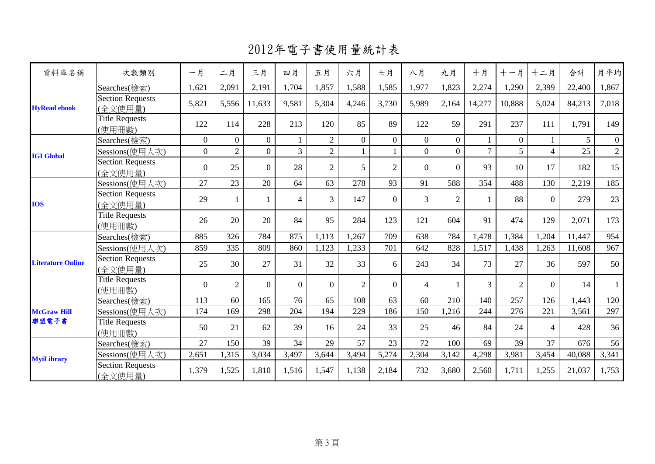2012年電子書使用量統計表

| 資料庫名稱                    | 次數類別                               | 一月             | 二月             | 三月             | 四月             | 五月             | 六月             | 七月             | 八月             | 九月             | 十月     | 十一月            | 十二月            | 合計     | 月平均            |
|--------------------------|------------------------------------|----------------|----------------|----------------|----------------|----------------|----------------|----------------|----------------|----------------|--------|----------------|----------------|--------|----------------|
|                          | Searches(檢索)                       | 1,621          | 2,091          | 2,191          | 1,704          | 1,857          | 1,588          | 1,585          | 1,977          | 1,823          | 2,274  | 1,290          | 2,399          | 22,400 | 1,867          |
| <b>HyRead ebook</b>      | Section Requests<br>(全文使用量)        | 5,821          | 5,556          | 11,633         | 9,581          | 5,304          | 4,246          | 3,730          | 5,989          | 2,164          | 14,277 | 10,888         | 5,024          | 84,213 | 7,018          |
|                          | <b>Title Requests</b><br>(使用冊數)    | 122            | 114            | 228            | 213            | 120            | 85             | 89             | 122            | 59             | 291    | 237            | 111            | 1,791  | 149            |
|                          | Searches(檢索)                       | $\overline{0}$ | $\overline{0}$ | $\Omega$       |                | $\overline{2}$ | $\overline{0}$ | $\overline{0}$ | $\Omega$       | $\Omega$       |        | $\Omega$       |                | 5      | $\overline{0}$ |
| <b>IGI Global</b>        | Sessions(使用人次)                     | $\overline{0}$ | $\overline{2}$ | $\overline{0}$ | $\overline{3}$ | $\overline{2}$ |                |                | $\mathbf{0}$   | $\overline{0}$ | $\tau$ | 5              | $\overline{4}$ | 25     | $\overline{2}$ |
|                          | Section Requests<br>(全文使用量)        | $\overline{0}$ | 25             | $\overline{0}$ | 28             | $\overline{2}$ | 5              | $\overline{2}$ | $\Omega$       | $\Omega$       | 93     | 10             | 17             | 182    | 15             |
| <b>IOS</b>               | Sessions(使用人次)                     | 27             | 23             | 20             | 64             | 63             | 278            | 93             | 91             | 588            | 354    | 488            | 130            | 2,219  | 185            |
|                          | <b>Section Requests</b><br>(全文使用量) | 29             |                |                | $\overline{4}$ | $\overline{3}$ | 147            | $\Omega$       | 3              | $\overline{2}$ |        | 88             | $\Omega$       | 279    | 23             |
|                          | <b>Title Requests</b><br>(使用冊數)    | 26             | 20             | 20             | 84             | 95             | 284            | 123            | 121            | 604            | 91     | 474            | 129            | 2,071  | 173            |
|                          | Searches(檢索)                       | 885            | 326            | 784            | 875            | 1,113          | 1,267          | 709            | 638            | 784            | 1,478  | 1,384          | 1,204          | 11,447 | 954            |
|                          | Sessions(使用人次)                     | 859            | 335            | 809            | 860            | 1,123          | 1,233          | 701            | 642            | 828            | 1,517  | 1,438          | 1,263          | 11,608 | 967            |
| <b>Literature Online</b> | <b>Section Requests</b><br>(全文使用量) | 25             | 30             | 27             | 31             | 32             | 33             | 6              | 243            | 34             | 73     | 27             | 36             | 597    | 50             |
|                          | <b>Title Requests</b><br>(使用冊數)    | $\overline{0}$ | $\overline{2}$ | $\overline{0}$ | $\Omega$       | $\theta$       | $\overline{2}$ | $\Omega$       | $\overline{4}$ |                | 3      | $\overline{2}$ | $\Omega$       | 14     | $\mathbf{1}$   |
|                          | Searches(檢索)                       | 113            | 60             | 165            | 76             | 65             | 108            | 63             | 60             | 210            | 140    | 257            | 126            | 1,443  | 120            |
| <b>McGraw Hill</b>       | Sessions(使用人次)                     | 174            | 169            | 298            | 204            | 194            | 229            | 186            | 150            | 1,216          | 244    | 276            | 221            | 3,561  | 297            |
| 聯盟電子書                    | <b>Title Requests</b><br>(使用冊數)    | 50             | 21             | 62             | 39             | 16             | 24             | 33             | 25             | 46             | 84     | 24             | 4              | 428    | 36             |
|                          | Searches(檢索)                       | 27             | 150            | 39             | 34             | 29             | 57             | 23             | 72             | 100            | 69     | 39             | 37             | 676    | 56             |
| <b>MyiLibrary</b>        | Sessions(使用人次)                     | 2,651          | 1,315          | 3,034          | 3,497          | 3,644          | 3,494          | 5,274          | 2,304          | 3,142          | 4,298  | 3,981          | 3,454          | 40,088 | 3,341          |
|                          | Section Requests<br>(全文使用量)        | 1,379          | 1,525          | 1,810          | 1,516          | 1,547          | 1,138          | 2,184          | 732            | 3,680          | 2,560  | 1,711          | 1,255          | 21,037 | 1,753          |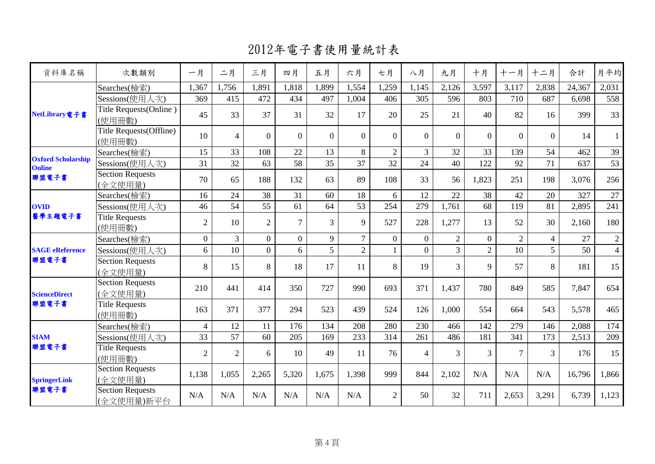2012年電子書使用量統計表

| 資料庫名稱                                      | 次數類別                                  | 一月             | 二月             | 三月             | 四月             | 五月             | 六月             | 七月             | 八月             | 九月             | 十月             | 十一月            | 十二月            | 合計     | 月平均            |
|--------------------------------------------|---------------------------------------|----------------|----------------|----------------|----------------|----------------|----------------|----------------|----------------|----------------|----------------|----------------|----------------|--------|----------------|
|                                            | Searches(檢索)                          | 1,367          | 1,756          | 1,891          | 1,818          | 1,899          | 1,554          | 1,259          | 1,145          | 2,126          | 3,597          | 3,117          | 2,838          | 24,367 | 2,031          |
| NetLibrary電子書                              | Sessions(使用人次)                        | 369            | 415            | 472            | 434            | 497            | 1,004          | 406            | 305            | 596            | 803            | 710            | 687            | 6,698  | 558            |
|                                            | Title Requests(Online)<br>(使用冊數)      | 45             | 33             | 37             | 31             | 32             | 17             | 20             | 25             | 21             | 40             | 82             | 16             | 399    | 33             |
|                                            | Title Requests(Offline)<br>(使用冊數)     | 10             | $\overline{4}$ | $\overline{0}$ | $\Omega$       | $\overline{0}$ | $\theta$       | $\theta$       | $\Omega$       | $\Omega$       | $\overline{0}$ | $\Omega$       | $\Omega$       | 14     | $\mathbf{1}$   |
|                                            | Searches(檢索)                          | 15             | 33             | 108            | 22             | 13             | 8              | $\overline{2}$ | 3              | 32             | 33             | 139            | 54             | 462    | 39             |
| <b>Oxford Scholarship</b><br><b>Online</b> | Sessions(使用人次)                        | 31             | 32             | 63             | 58             | 35             | 37             | 32             | 24             | 40             | 122            | 92             | 71             | 637    | 53             |
| 聯盟電子書                                      | Section Requests<br>(全文使用量)           | 70             | 65             | 188            | 132            | 63             | 89             | 108            | 33             | 56             | 1,823          | 251            | 198            | 3,076  | 256            |
| <b>OVID</b><br>醫學主題電子書                     | Searches(檢索)                          | 16             | 24             | 38             | 31             | 60             | 18             | 6              | 12             | 22             | 38             | 42             | 20             | 327    | 27             |
|                                            | Sessions(使用人次)                        | 46             | 54             | 55             | 61             | 64             | 53             | 254            | 279            | 1,761          | 68             | 119            | 81             | 2,895  | 241            |
|                                            | <b>Title Requests</b><br>(使用冊數)       | $\overline{2}$ | 10             | $\overline{2}$ | $\overline{7}$ | $\overline{3}$ | 9              | 527            | 228            | 1,277          | 13             | 52             | 30             | 2,160  | 180            |
| <b>SAGE</b> eReference                     | Searches(檢索)                          | $\overline{0}$ | $\overline{3}$ | $\overline{0}$ | $\overline{0}$ | 9              | $\overline{7}$ | $\overline{0}$ | $\overline{0}$ | $\overline{2}$ | $\overline{0}$ | $\overline{2}$ | $\overline{4}$ | 27     | $\overline{2}$ |
|                                            | Sessions(使用人次)                        | 6              | 10             | $\overline{0}$ | 6              | 5              | $\overline{2}$ |                | $\Omega$       | $\overline{3}$ | $\overline{2}$ | 10             | 5              | 50     | $\overline{4}$ |
| 聯盟電子書                                      | <b>Section Requests</b><br>(全文使用量)    | 8              | 15             | 8              | 18             | 17             | 11             | 8              | 19             | 3              | $\mathbf Q$    | 57             | 8              | 181    | 15             |
| <b>ScienceDirect</b>                       | <b>Section Requests</b><br>(全文使用量)    | 210            | 441            | 414            | 350            | 727            | 990            | 693            | 371            | 1,437          | 780            | 849            | 585            | 7,847  | 654            |
| 聯盟電子書                                      | <b>Title Requests</b><br>(使用冊數)       | 163            | 371            | 377            | 294            | 523            | 439            | 524            | 126            | 1,000          | 554            | 664            | 543            | 5,578  | 465            |
|                                            | Searches(檢索)                          | $\overline{4}$ | 12             | 11             | 176            | 134            | 208            | 280            | 230            | 466            | 142            | 279            | 146            | 2,088  | 174            |
| <b>SIAM</b>                                | Sessions(使用人次)                        | 33             | 57             | 60             | 205            | 169            | 233            | 314            | 261            | 486            | 181            | 341            | 173            | 2,513  | 209            |
| 聯盟電子書                                      | <b>Title Requests</b><br>(使用冊數)       | $\overline{2}$ | $\overline{2}$ | 6              | 10             | 49             | 11             | 76             | $\overline{4}$ | 3              | $\overline{3}$ | $\tau$         | 3              | 176    | 15             |
| <b>SpringerLink</b><br>聯盟電子書               | <b>Section Requests</b><br>(全文使用量)    | 1,138          | 1,055          | 2,265          | 5,320          | 1,675          | 1,398          | 999            | 844            | 2,102          | N/A            | N/A            | N/A            | 16,796 | 1,866          |
|                                            | <b>Section Requests</b><br>(全文使用量)新平台 | N/A            | N/A            | N/A            | N/A            | N/A            | N/A            | $\overline{2}$ | 50             | 32             | 711            | 2,653          | 3,291          | 6,739  | 1,123          |